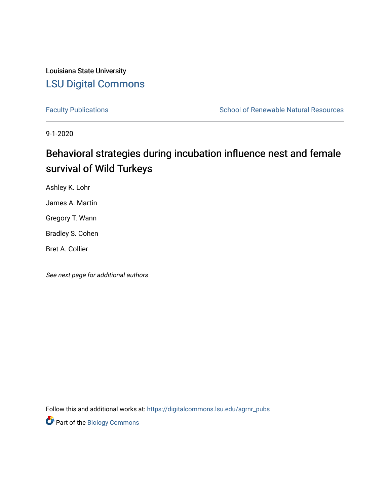Louisiana State University [LSU Digital Commons](https://digitalcommons.lsu.edu/)

[Faculty Publications](https://digitalcommons.lsu.edu/agrnr_pubs) **School of Renewable Natural Resources** School of Renewable Natural Resources

9-1-2020

# Behavioral strategies during incubation influence nest and female survival of Wild Turkeys

Ashley K. Lohr

James A. Martin

Gregory T. Wann

Bradley S. Cohen

Bret A. Collier

See next page for additional authors

Follow this and additional works at: [https://digitalcommons.lsu.edu/agrnr\\_pubs](https://digitalcommons.lsu.edu/agrnr_pubs?utm_source=digitalcommons.lsu.edu%2Fagrnr_pubs%2F6&utm_medium=PDF&utm_campaign=PDFCoverPages) 

**Part of the Biology Commons**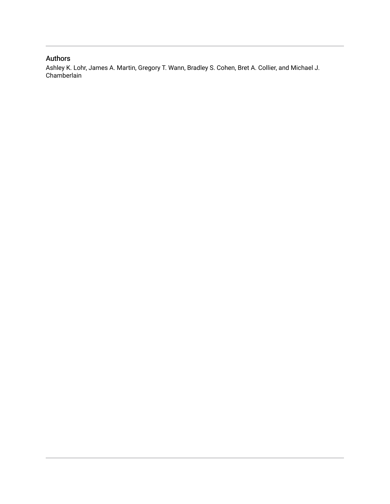### Authors

Ashley K. Lohr, James A. Martin, Gregory T. Wann, Bradley S. Cohen, Bret A. Collier, and Michael J. Chamberlain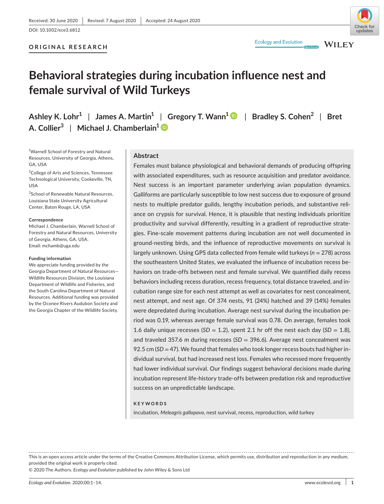#### **ORIGINAL RESEARCH**



**WILEY** 

**Ecology and Evolution** 

# **Behavioral strategies during incubation influence nest and female survival of Wild Turkeys**

**Ashley K. Lohr1** | **James A. Martin1** | **Gregory T. Wann1** | **Bradley S. Cohen<sup>2</sup>** | **Bret A. Collier<sup>3</sup>** | **Michael J. Chamberlain[1](https://orcid.org/0000-0001-8273-6238)**

<sup>1</sup>Warnell School of Forestry and Natural Resources, University of Georgia, Athens, GA, USA

<sup>2</sup>College of Arts and Sciences, Tennessee Technological University, Cookeville, TN, USA

3 School of Renewable Natural Resources, Louisiana State University Agricultural Center, Baton Rouge, LA, USA

#### **Correspondence**

Michael J. Chamberlain, Warnell School of Forestry and Natural Resources, University of Georgia, Athens, GA, USA. Email: [mchamb@uga.edu](mailto:mchamb@uga.edu)

#### **Funding information**

We appreciate funding provided by the Georgia Department of Natural Resources— Wildlife Resources Division, the Louisiana Department of Wildlife and Fisheries, and the South Carolina Department of Natural Resources. Additional funding was provided by the Oconee Rivers Audubon Society and the Georgia Chapter of the Wildlife Society.

#### **Abstract**

Females must balance physiological and behavioral demands of producing offspring with associated expenditures, such as resource acquisition and predator avoidance. Nest success is an important parameter underlying avian population dynamics. Galliforms are particularly susceptible to low nest success due to exposure of ground nests to multiple predator guilds, lengthy incubation periods, and substantive reliance on crypsis for survival. Hence, it is plausible that nesting individuals prioritize productivity and survival differently, resulting in a gradient of reproductive strategies. Fine-scale movement patterns during incubation are not well documented in ground-nesting birds, and the influence of reproductive movements on survival is largely unknown. Using GPS data collected from female wild turkeys (*n* = 278) across the southeastern United States, we evaluated the influence of incubation recess behaviors on trade-offs between nest and female survival. We quantified daily recess behaviors including recess duration, recess frequency, total distance traveled, and incubation range size for each nest attempt as well as covariates for nest concealment, nest attempt, and nest age. Of 374 nests, 91 (24%) hatched and 39 (14%) females were depredated during incubation. Average nest survival during the incubation period was 0.19, whereas average female survival was 0.78. On average, females took 1.6 daily unique recesses  $(SD = 1.2)$ , spent 2.1 hr off the nest each day  $(SD = 1.8)$ , and traveled 357.6 m during recesses (*SD* = 396.6). Average nest concealment was 92.5 cm (*SD* = 47). We found that females who took longer recess bouts had higher individual survival, but had increased nest loss. Females who recessed more frequently had lower individual survival. Our findings suggest behavioral decisions made during incubation represent life-history trade-offs between predation risk and reproductive success on an unpredictable landscape.

#### **KEYWORDS**

incubation, *Meleagris gallopavo*, nest survival, recess, reproduction, wild turkey

This is an open access article under the terms of the [Creative Commons Attribution](http://creativecommons.org/licenses/by/4.0/) License, which permits use, distribution and reproduction in any medium, provided the original work is properly cited.

© 2020 The Authors. *Ecology and Evolution* published by John Wiley & Sons Ltd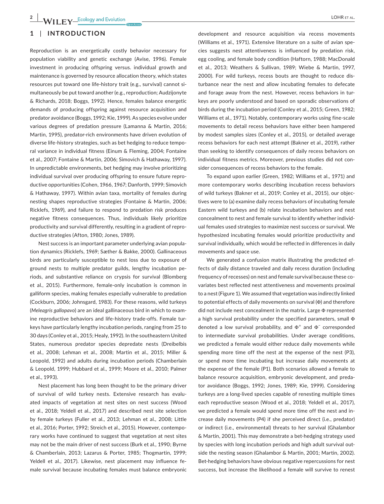### **1** | **INTRODUCTION**

Reproduction is an energetically costly behavior necessary for population viability and genetic exchange (Avise, 1996). Female investment in producing offspring versus. individual growth and maintenance is governed by resource allocation theory, which states resources put toward one life-history trait (e.g., survival) cannot simultaneously be put toward another (e.g., reproduction; Audzijonyte & Richards, 2018; Boggs, 1992). Hence, females balance energetic demands of producing offspring against resource acquisition and predator avoidance (Boggs, 1992; Kie, 1999). As species evolve under various degrees of predation pressure (Lamanna & Martin, 2016; Martin, 1995), predator-rich environments have driven evolution of diverse life-history strategies, such as bet hedging to reduce temporal variance in individual fitness (Einum & Fleming, 2004; Fontaine et al., 2007; Fontaine & Martin, 2006; Simovich & Hathaway, 1997). In unpredictable environments, bet hedging may involve prioritizing individual survival over producing offspring to ensure future reproductive opportunities (Cohen, 1966, 1967; Danforth, 1999; Simovich & Hathaway, 1997). Within avian taxa, mortality of females during nesting shapes reproductive strategies (Fontaine & Martin, 2006; Ricklefs, 1969), and failure to respond to predation risk produces negative fitness consequences. Thus, individuals likely prioritize productivity and survival differently, resulting in a gradient of reproductive strategies (Afton, 1980; Jones, 1989).

Nest success is an important parameter underlying avian population dynamics (Ricklefs, 1969; Sæther & Bakke, 2000). Gallinaceous birds are particularly susceptible to nest loss due to exposure of ground nests to multiple predator guilds, lengthy incubation periods, and substantive reliance on crypsis for survival (Blomberg et al., 2015). Furthermore, female-only incubation is common in galliform species, making females especially vulnerable to predation (Cockburn, 2006; Johnsgard, 1983). For these reasons, wild turkeys (*Meleagris gallopavo*) are an ideal gallinaceous bird in which to examine reproductive behaviors and life-history trade-offs. Female turkeys have particularly lengthy incubation periods, ranging from 25 to 30 days (Conley et al., 2015; Healy, 1992). In the southeastern United States, numerous predator species depredate nests (Dreibelbis et al., 2008; Lehman et al., 2008; Martin et al., 2015; Miller & Leopold, 1992) and adults during incubation periods (Chamberlain & Leopold, 1999; Hubbard et al., 1999; Moore et al., 2010; Palmer et al., 1993).

Nest placement has long been thought to be the primary driver of survival of wild turkey nests. Extensive research has evaluated impacts of vegetation at nest sites on nest success (Wood et al., 2018; Yeldell et al., 2017) and described nest site selection by female turkeys (Fuller et al., 2013; Lehman et al., 2008; Little et al., 2016; Porter, 1992; Streich et al., 2015). However, contemporary works have continued to suggest that vegetation at nest sites may not be the main driver of nest success (Burk et al., 1990; Byrne & Chamberlain, 2013; Lazarus & Porter, 1985; Thogmartin, 1999; Yeldell et al., 2017). Likewise, nest placement may influence female survival because incubating females must balance embryonic

development and resource acquisition via recess movements (Williams et al., 1971). Extensive literature on a suite of avian species suggests nest attentiveness is influenced by predation risk, egg cooling, and female body condition (Haftorn, 1988; MacDonald et al., 2013; Weathers & Sullivan, 1989; Wiebe & Martin, 1997, 2000). For wild turkeys, recess bouts are thought to reduce disturbance near the nest and allow incubating females to defecate and forage away from the nest. However, recess behaviors in turkeys are poorly understood and based on sporadic observations of birds during the incubation period (Conley et al., 2015; Green, 1982; Williams et al., 1971). Notably, contemporary works using fine-scale movements to detail recess behaviors have either been hampered by modest samples sizes (Conley et al., 2015), or detailed average recess behaviors for each nest attempt (Bakner et al., 2019), rather than seeking to identify consequences of daily recess behaviors on individual fitness metrics. Moreover, previous studies did not consider consequences of recess behaviors to the female.

To expand upon earlier (Green, 1982; Williams et al., 1971) and more contemporary works describing incubation recess behaviors of wild turkeys (Bakner et al., 2019; Conley et al., 2015), our objectives were to (a) examine daily recess behaviors of incubating female Eastern wild turkeys and (b) relate incubation behaviors and nest concealment to nest and female survival to identify whether individual females used strategies to maximize nest success or survival. We hypothesized incubating females would prioritize productivity and survival individually, which would be reflected in differences in daily movements and space use.

We generated a confusion matrix illustrating the predicted effects of daily distance traveled and daily recess duration (including frequency of recesses) on nest and female survival because these covariates best reflected nest attentiveness and movements proximal to a nest (Figure 1). We assumed that vegetation was indirectly linked to potential effects of daily movements on survival (Φ) and therefore did not include nest concealment in the matrix. Large Φ represented a high survival probability under the specified parameters, small Φ denoted a low survival probability, and  $\Phi^+$  and  $\Phi^-$  corresponded to intermediate survival probabilities. Under average conditions, we predicted a female would either reduce daily movements while spending more time off the nest at the expense of the nest (P3), or spend more time incubating but increase daily movements at the expense of the female (P1). Both scenarios allowed a female to balance resource acquisition, embryonic development, and predator avoidance (Boggs, 1992; Jones, 1989; Kie, 1999). Considering turkeys are a long-lived species capable of renesting multiple times each reproductive season (Wood et al., 2018; Yeldell et al., 2017), we predicted a female would spend more time off the nest and increase daily movements (P4) if she perceived direct (i.e., predator) or indirect (i.e., environmental) threats to her survival (Ghalambor & Martin, 2001). This may demonstrate a bet-hedging strategy used by species with long incubation periods and high adult survival outside the nesting season (Ghalambor & Martin, 2001; Martin, 2002). Bet-hedging behaviors have obvious negative repercussions for nest success, but increase the likelihood a female will survive to renest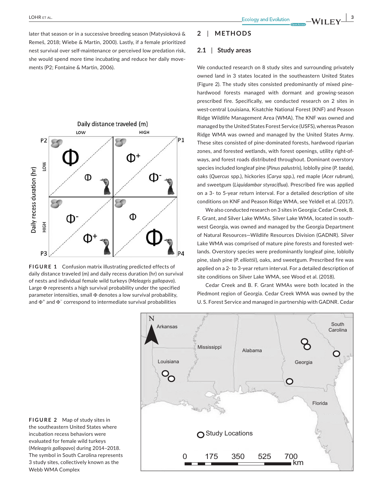later that season or in a successive breeding season (Matysioková & Remeš, 2018; Wiebe & Martin, 2000). Lastly, if a female prioritized nest survival over self-maintenance or perceived low predation risk, she would spend more time incubating and reduce her daily movements (P2; Fontaine & Martin, 2006).



**FIGURE 1** Confusion matrix illustrating predicted effects of daily distance traveled (m) and daily recess duration (hr) on survival of nests and individual female wild turkeys (*Meleagris gallopavo*). Large Φ represents a high survival probability under the specified parameter intensities, small  $\Phi$  denotes a low survival probability, and  $\Phi^+$  and  $\Phi^-$  correspond to intermediate survival probabilities

#### **2** | **METHODS**

#### **2.1** | **Study areas**

We conducted research on 8 study sites and surrounding privately owned land in 3 states located in the southeastern United States (Figure 2). The study sites consisted predominantly of mixed pinehardwood forests managed with dormant and growing-season prescribed fire. Specifically, we conducted research on 2 sites in west-central Louisiana, Kisatchie National Forest (KNF) and Peason Ridge Wildlife Management Area (WMA). The KNF was owned and managed by the United States Forest Service (USFS), whereas Peason Ridge WMA was owned and managed by the United States Army. These sites consisted of pine-dominated forests, hardwood riparian zones, and forested wetlands, with forest openings, utility right-ofways, and forest roads distributed throughout. Dominant overstory species included longleaf pine (*Pinus palustris*), loblolly pine (*P. taeda*), oaks (*Quercus* spp.), hickories (*Carya* spp.), red maple (*Acer rubrum*), and sweetgum (*Liquidambar styraciflua*). Prescribed fire was applied on a 3- to 5-year return interval. For a detailed description of site conditions on KNF and Peason Ridge WMA, see Yeldell et al. (2017).

We also conducted research on 3 sites in Georgia: Cedar Creek, B. F. Grant, and Silver Lake WMAs. Silver Lake WMA, located in southwest Georgia, was owned and managed by the Georgia Department of Natural Resources—Wildlife Resources Division (GADNR). Silver Lake WMA was comprised of mature pine forests and forested wetlands. Overstory species were predominantly longleaf pine, loblolly pine, slash pine (*P. elliottii*), oaks, and sweetgum. Prescribed fire was applied on a 2- to 3-year return interval. For a detailed description of site conditions on Silver Lake WMA, see Wood et al. (2018).

Cedar Creek and B. F. Grant WMAs were both located in the Piedmont region of Georgia. Cedar Creek WMA was owned by the U. S. Forest Service and managed in partnership with GADNR. Cedar



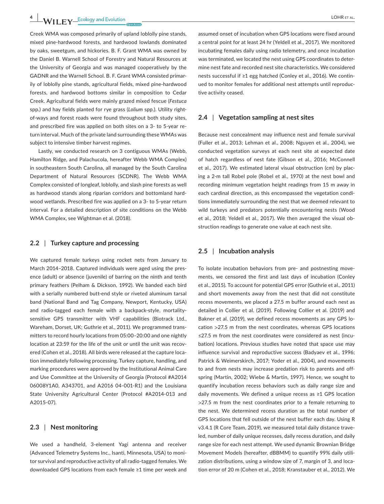Creek WMA was composed primarily of upland loblolly pine stands, mixed pine-hardwood forests, and hardwood lowlands dominated by oaks, sweetgum, and hickories. B. F. Grant WMA was owned by the Daniel B. Warnell School of Forestry and Natural Resources at the University of Georgia and was managed cooperatively by the GADNR and the Warnell School. B. F. Grant WMA consisted primarily of loblolly pine stands, agricultural fields, mixed pine-hardwood forests, and hardwood bottoms similar in composition to Cedar Creek. Agricultural fields were mainly grazed mixed fescue (*Festuca* spp.) and hay fields planted for rye grass (*Lolium* spp.). Utility rightof-ways and forest roads were found throughout both study sites, and prescribed fire was applied on both sites on a 3- to 5-year return interval. Much of the private land surrounding these WMAs was subject to intensive timber harvest regimes.

Lastly, we conducted research on 3 contiguous WMAs (Webb, Hamilton Ridge, and Palachucola, hereafter Webb WMA Complex) in southeastern South Carolina, all managed by the South Carolina Department of Natural Resources (SCDNR). The Webb WMA Complex consisted of longleaf, loblolly, and slash pine forests as well as hardwood stands along riparian corridors and bottomland hardwood wetlands. Prescribed fire was applied on a 3- to 5-year return interval. For a detailed description of site conditions on the Webb WMA Complex, see Wightman et al. (2018).

#### **2.2** | **Turkey capture and processing**

We captured female turkeys using rocket nets from January to March 2014–2018. Captured individuals were aged using the presence (adult) or absence (juvenile) of barring on the ninth and tenth primary feathers (Pelham & Dickson, 1992). We banded each bird with a serially numbered butt-end style or riveted aluminum tarsal band (National Band and Tag Company, Newport, Kentucky, USA) and radio-tagged each female with a backpack-style, mortalitysensitive GPS transmitter with VHF capabilities (Biotrack Ltd., Wareham, Dorset, UK; Guthrie et al., 2011). We programmed transmitters to record hourly locations from 05:00–20:00 and one nightly location at 23:59 for the life of the unit or until the unit was recovered (Cohen et al., 2018). All birds were released at the capture location immediately following processing. Turkey capture, handling, and marking procedures were approved by the Institutional Animal Care and Use Committee at the University of Georgia (Protocol #A2014 06008Y1A0, A343701, and A2016 04-001-R1) and the Louisiana State University Agricultural Center (Protocol #A2014-013 and A2015-07).

#### **2.3** | **Nest monitoring**

We used a handheld, 3-element Yagi antenna and receiver (Advanced Telemetry Systems Inc., Isanti, Minnesota, USA) to monitor survival and reproductive activity of all radio-tagged females. We downloaded GPS locations from each female ≥1 time per week and

assumed onset of incubation when GPS locations were fixed around a central point for at least 24 hr (Yeldell et al., 2017). We monitored incubating females daily using radio telemetry, and once incubation was terminated, we located the nest using GPS coordinates to determine nest fate and recorded nest site characteristics. We considered nests successful if ≥1 egg hatched (Conley et al., 2016). We continued to monitor females for additional nest attempts until reproductive activity ceased.

#### **2.4** | **Vegetation sampling at nest sites**

Because nest concealment may influence nest and female survival (Fuller et al., 2013; Lehman et al., 2008; Nguyen et al., 2004), we conducted vegetation surveys at each nest site at expected date of hatch regardless of nest fate (Gibson et al., 2016; McConnell et al., 2017). We estimated lateral visual obstruction (cm) by placing a 2-m tall Robel pole (Robel et al., 1970) at the nest bowl and recording minimum vegetation height readings from 15 m away in each cardinal direction, as this encompassed the vegetation conditions immediately surrounding the nest that we deemed relevant to wild turkeys and predators potentially encountering nests (Wood et al., 2018; Yeldell et al., 2017). We then averaged the visual obstruction readings to generate one value at each nest site.

#### **2.5** | **Incubation analysis**

To isolate incubation behaviors from pre- and postnesting movements, we censored the first and last days of incubation (Conley et al., 2015). To account for potential GPS error (Guthrie et al., 2011) and short movements away from the nest that did not constitute recess movements, we placed a 27.5 m buffer around each nest as detailed in Collier et al. (2019). Following Collier et al. (2019) and Bakner et al. (2019), we defined recess movements as any GPS location >27.5 m from the nest coordinates, whereas GPS locations ≤27.5 m from the nest coordinates were considered as nest (incubation) locations. Previous studies have noted that space use may influence survival and reproductive success (Badyaev et al., 1996; Patrick & Weimerskirch, 2017; Yoder et al., 2004), and movements to and from nests may increase predation risk to parents and offspring (Martin, 2002; Wiebe & Martin, 1997). Hence, we sought to quantify incubation recess behaviors such as daily range size and daily movements. We defined a unique recess as ≥1 GPS location >27.5 m from the nest coordinates prior to a female returning to the nest. We determined recess duration as the total number of GPS locations that fell outside of the nest buffer each day. Using R v3.4.1 (R Core Team, 2019), we measured total daily distance traveled, number of daily unique recesses, daily recess duration, and daily range size for each nest attempt. We used dynamic Brownian Bridge Movement Models (hereafter, dBBMM) to quantify 99% daily utilization distributions, using a window size of 7, margin of 3, and location error of 20 m (Cohen et al., 2018; Kranstauber et al., 2012). We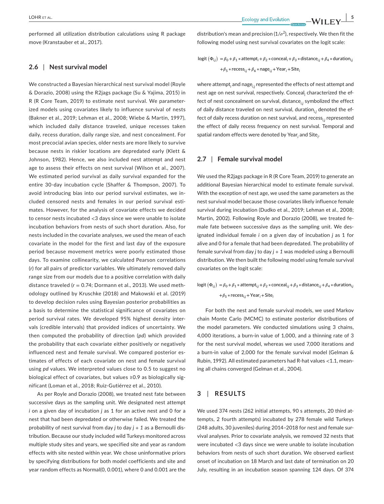performed all utilization distribution calculations using R package move (Kranstauber et al., 2017).

#### **2.6** | **Nest survival model**

We constructed a Bayesian hierarchical nest survival model (Royle & Dorazio, 2008) using the R2jags package (Su & Yajima, 2015) in R (R Core Team, 2019) to estimate nest survival. We parameterized models using covariates likely to influence survival of nests (Bakner et al., 2019; Lehman et al., 2008; Wiebe & Martin, 1997), which included daily distance traveled, unique recesses taken daily, recess duration, daily range size, and nest concealment. For most precocial avian species, older nests are more likely to survive because nests in riskier locations are depredated early (Klett & Johnson, 1982). Hence, we also included nest attempt and nest age to assess their effects on nest survival (Wilson et al., 2007). We estimated period survival as daily survival expanded for the entire 30-day incubation cycle (Shaffer & Thompson, 2007). To avoid introducing bias into our period survival estimates, we included censored nests and females in our period survival estimates. However, for the analysis of covariate effects we decided to censor nests incubated <3 days since we were unable to isolate incubation behaviors from nests of such short duration. Also, for nests included in the covariate analyses, we used the mean of each covariate in the model for the first and last day of the exposure period because movement metrics were poorly estimated those days. To examine collinearity, we calculated Pearson correlations (*r*) for all pairs of predictor variables. We ultimately removed daily range size from our models due to a positive correlation with daily distance traveled (*r* = 0.74; Dormann et al., 2013). We used methodology outlined by Kruschke (2018) and Makowski et al. (2019) to develop decision rules using Bayesian posterior probabilities as a basis to determine the statistical significance of covariates on period survival rates. We developed 95% highest density intervals (credible intervals) that provided indices of uncertainty. We then computed the probability of direction (*pd*) which provided the probability that each covariate either positively or negatively influenced nest and female survival. We compared posterior estimates of effects of each covariate on nest and female survival using *pd* values. We interpreted values close to 0.5 to suggest no biological effect of covariates, but values ≥0.9 as biologically significant (Loman et al., 2018; Ruiz-Gutiérrez et al., 2010).

As per Royle and Dorazio (2008), we treated nest fate between successive days as the sampling unit. We designated nest attempt *i* on a given day of incubation *j* as 1 for an active nest and 0 for a nest that had been depredated or otherwise failed. We treated the probability of nest survival from day *j* to day *j + 1* as a Bernoulli distribution. Because our study included wild Turkeys monitored across multiple study sites and years, we specified site and year as random effects with site nested within year. We chose uninformative priors by specifying distributions for both model coefficients and site and year random effects as Normal(0, 0.001), where 0 and 0.001 are the

distribution's mean and precision ( $1/\sigma^2$ ), respectively. We then fit the following model using nest survival covariates on the logit scale:

logit 
$$
(\Phi_{i,j}) = \beta_0 + \beta_1 * \text{attempt}_i + \beta_2 * \text{conceal}_i + \beta_3 * \text{distance}_{i,j} + \beta_4 * \text{duration}_{i,j}
$$
  
+ $\beta_5 * \text{recess}_{i,j} + \beta_6 * \text{nage}_{i,j} + \text{Year}_i + \text{Site}_i$ 

where attempt*<sup>i</sup>* and nage*i,j* represented the effects of nest attempt and nest age on nest survival, respectively. Conceal<sub>i</sub> characterized the effect of nest concealment on survival, distance<sub>ij</sub> symbolized the effect of daily distance traveled on nest survival, duration<sub>ij</sub> denoted the effect of daily recess duration on nest survival, and recess<sub>ii</sub> represented the effect of daily recess frequency on nest survival. Temporal and spatial random effects were denoted by Year*<sup>i</sup>* and Site*<sup>i</sup>* .

#### **2.7** | **Female survival model**

We used the R2jags package in R (R Core Team, 2019) to generate an additional Bayesian hierarchical model to estimate female survival. With the exception of nest age, we used the same parameters as the nest survival model because those covariates likely influence female survival during incubation (Dudko et al., 2019; Lehman et al., 2008; Martin, 2002). Following Royle and Dorazio (2008), we treated female fate between successive days as the sampling unit. We designated individual female *i* on a given day of incubation *j* as 1 for alive and 0 for a female that had been depredated. The probability of female survival from day *j* to day *j + 1* was modeled using a Bernoulli distribution. We then built the following model using female survival covariates on the logit scale:

 $\log$ it  $(\Phi_{ij}) = \beta_0 + \beta_1 * \text{attention}_{i,j} + \beta_2 * \text{concat}_{{i,j}} + \beta_3 * \text{distance}_{i,j} + \beta_4 * \text{duration}_{i,j}$ +*𝛽*<sup>5</sup> ∗ recess*i*,*<sup>j</sup>* +Year*<sup>i</sup>* +Site*<sup>i</sup>*

For both the nest and female survival models, we used Markov chain Monte Carlo (MCMC) to estimate posterior distributions of the model parameters. We conducted simulations using 3 chains, 4,000 iterations, a burn-in value of 1,000, and a thinning rate of 3 for the nest survival model, whereas we used 7,000 iterations and a burn-in value of 2,000 for the female survival model (Gelman & Rubin, 1992). All estimated parameters had R-hat values <1.1, meaning all chains converged (Gelman et al., 2004).

#### **3** | **RESULTS**

We used 374 nests (262 initial attempts, 90 s attempts, 20 third attempts, 2 fourth attempts) incubated by 278 female wild Turkeys (248 adults, 30 juveniles) during 2014–2018 for nest and female survival analyses. Prior to covariate analysis, we removed 32 nests that were incubated <3 days since we were unable to isolate incubation behaviors from nests of such short duration. We observed earliest onset of incubation on 18 March and last date of termination on 20 July, resulting in an incubation season spanning 124 days. Of 374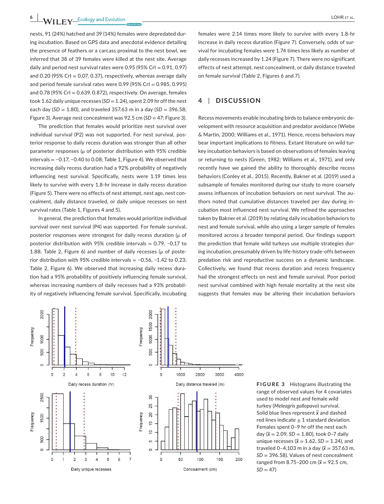nests, 91 (24%) hatched and 39 (14%) females were depredated during incubation. Based on GPS data and anecdotal evidence detailing the presence of feathers or a carcass proximal to the nest bowl, we inferred that 38 of 39 females were killed at the nest site. Average daily and period nest survival rates were  $0.95$  (95% CrI =  $0.91$ ,  $0.97$ ) and  $0.20$  (95% CrI = 0.07, 0.37), respectively, whereas average daily and period female survival rates were  $0.99$  (95% CrI =  $0.985$ ,  $0.995$ ) and 0.78 (95% CrI =  $0.639$ , 0.872), respectively. On average, females took 1.62 daily unique recesses ( $SD = 1.24$ ), spent 2.09 hr off the nest each day (*SD* = 1.80), and traveled 357.63 m in a day (*SD* = 396.58; Figure 3). Average nest concealment was 92.5 cm (*SD* = 47; Figure 3).

The prediction that females would prioritize nest survival over individual survival (P2) was not supported. For nest survival, posterior response to daily recess duration was stronger than all other parameter responses (μ of posterior distribution with 95% credible intervals = −0.17, −0.40 to 0.08; Table 1, Figure 4). We observed that increasing daily recess duration had a 92% probability of negatively influencing nest survival. Specifically, nests were 1.19 times less likely to survive with every 1.8-hr increase in daily recess duration (Figure 5). There were no effects of nest attempt, nest age, nest concealment, daily distance traveled, or daily unique recesses on nest survival rates (Table 1, Figures 4 and 5).

In general, the prediction that females would prioritize individual survival over nest survival (P4) was supported. For female survival, posterior responses were strongest for daily recess duration (μ of posterior distribution with 95% credible intervals = 0.79, −0.17 to 1.88; Table 2, Figure 6) and number of daily recesses ( $\mu$  of posterior distribution with 95% credible intervals = −0.56, −1.42 to 0.23; Table 2, Figure 6). We observed that increasing daily recess duration had a 95% probability of positively influencing female survival, whereas increasing numbers of daily recesses had a 93% probability of negatively influencing female survival. Specifically, incubating

females were 2.14 times more likely to survive with every 1.8-hr increase in daily recess duration (Figure 7). Conversely, odds of survival for incubating females were 1.74 times less likely as number of daily recesses increased by 1.24 (Figure 7). There were no significant effects of nest attempt, nest concealment, or daily distance traveled on female survival (Table 2, Figures 6 and 7).

#### **4** | **DISCUSSION**

Recess movements enable incubating birds to balance embryonic development with resource acquisition and predator avoidance (Wiebe & Martin, 2000; Williams et al., 1971). Hence, recess behaviors may bear important implications to fitness. Extant literature on wild turkey incubation behaviors is based on observations of females leaving or returning to nests (Green, 1982; Williams et al., 1971), and only recently have we gained the ability to thoroughly describe recess behaviors (Conley et al., 2015). Recently, Bakner et al. (2019) used a subsample of females monitored during our study to more coarsely assess influences of incubation behaviors on nest survival. The authors noted that cumulative distances traveled per day during incubation most influenced nest survival. We refined the approaches taken by Bakner et al. (2019) by relating daily incubation behaviors to nest and female survival, while also using a larger sample of females monitored across a broader temporal period. Our findings support the prediction that female wild turkeys use multiple strategies during incubation, presumably driven by life-history trade-offs between predation risk and reproductive success on a dynamic landscape. Collectively, we found that recess duration and recess frequency had the strongest effects on nest and female survival. Poor period nest survival combined with high female mortality at the nest site suggests that females may be altering their incubation behaviors



**FIGURE 3** Histograms illustrating the range of observed values for 4 covariates used to model nest and female wild turkey (*Meleagris gallopavo*) survival. Solid blue lines represent *x* and dashed red lines indicate  $\pm$  1 standard deviation. Females spent 0–9 hr off the nest each day  $(\bar{x} = 2.09, SD = 1.80)$ , took 0-7 daily unique recesses ( $\bar{x}$  = 1.62, *SD* = 1.24), and traveled 0-4,103 m in a day ( $\bar{x}$  = 357.63 m, *SD* = 396.58). Values of nest concealment ranged from 8.75-200 cm ( $\bar{x}$  = 92.5 cm,  $SD = 47$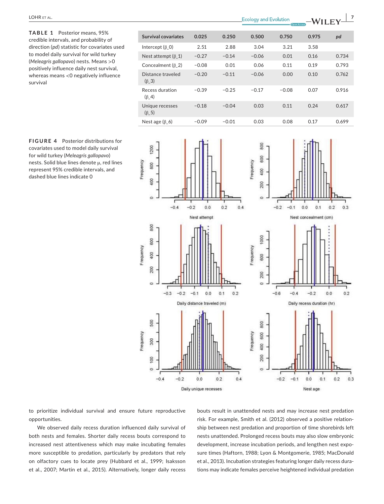**TABLE 1** Posterior means, 95% credible intervals, and probability of direction (*pd*) statistic for covariates used to model daily survival for wild turkey (*Meleagris gallopavo*) nests. Means >0 positively influence daily nest survival, whereas means <0 negatively influence survival







to prioritize individual survival and ensure future reproductive opportunities.

We observed daily recess duration influenced daily survival of both nests and females. Shorter daily recess bouts correspond to increased nest attentiveness which may make incubating females more susceptible to predation, particularly by predators that rely on olfactory cues to locate prey (Hubbard et al., 1999; Isaksson et al., 2007; Martin et al., 2015). Alternatively, longer daily recess

bouts result in unattended nests and may increase nest predation risk. For example, Smith et al. (2012) observed a positive relationship between nest predation and proportion of time shorebirds left nests unattended. Prolonged recess bouts may also slow embryonic development, increase incubation periods, and lengthen nest exposure times (Haftorn, 1988; Lyon & Montgomerie, 1985; MacDonald et al., 2013). Incubation strategies featuring longer daily recess durations may indicate females perceive heightened individual predation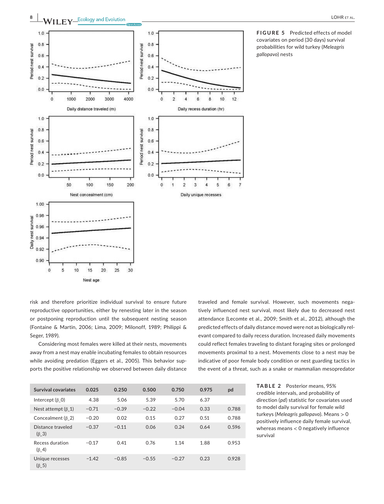

**FIGURE 5** Predicted effects of model covariates on period (30 days) survival probabilities for wild turkey (*Meleagris gallopavo*) nests

risk and therefore prioritize individual survival to ensure future reproductive opportunities, either by renesting later in the season or postponing reproduction until the subsequent nesting season (Fontaine & Martin, 2006; Lima, 2009; Milonoff, 1989; Philippi & Seger, 1989).

Considering most females were killed at their nests, movements away from a nest may enable incubating females to obtain resources while avoiding predation (Eggers et al., 2005). This behavior supports the positive relationship we observed between daily distance traveled and female survival. However, such movements negatively influenced nest survival, most likely due to decreased nest attendance (Lecomte et al., 2009; Smith et al., 2012), although the predicted effects of daily distance moved were not as biologically relevant compared to daily recess duration. Increased daily movements could reflect females traveling to distant foraging sites or prolonged movements proximal to a nest. Movements close to a nest may be indicative of poor female body condition or nest guarding tactics in the event of a threat, such as a snake or mammalian mesopredator

| Survival covariates              | 0.025   | 0.250   | 0.500   | 0.750   | 0.975 | pd    |
|----------------------------------|---------|---------|---------|---------|-------|-------|
| Intercept $(\beta \ 0)$          | 4.38    | 5.06    | 5.39    | 5.70    | 6.37  |       |
| Nest attempt $(\beta 1)$         | $-0.71$ | $-0.39$ | $-0.22$ | $-0.04$ | 0.33  | 0.788 |
| Concealment ( $\beta$ 2)         | $-0.20$ | 0.02    | 0.15    | 0.27    | 0.51  | 0.788 |
| Distance traveled<br>$(\beta$ 3) | $-0.37$ | $-0.11$ | 0.06    | 0.24    | 0.64  | 0.596 |
| Recess duration<br>$(\beta_4)$   | $-0.17$ | 0.41    | 0.76    | 1.14    | 1.88  | 0.953 |
| Unique recesses<br>$(\beta$ 5)   | $-1.42$ | $-0.85$ | $-0.55$ | $-0.27$ | 0.23  | 0.928 |

**TABLE 2** Posterior means, 95% credible intervals, and probability of direction (*pd*) statistic for covariates used to model daily survival for female wild turkeys (*Meleagris gallopavo*). Means > 0 positively influence daily female survival, whereas means < 0 negatively influence survival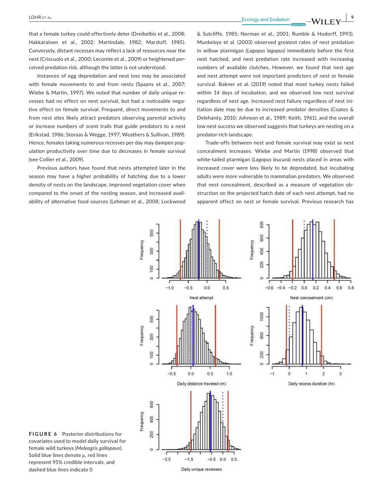**|** LOHR et al. **9**

Instances of egg depredation and nest loss may be associated with female movements to and from nests (Spaans et al., 2007; Wiebe & Martin, 1997). We noted that number of daily unique recesses had no effect on nest survival, but had a noticeable negative effect on female survival. Frequent, direct movements to and from nest sites likely attract predators observing parental activity or increase numbers of scent trails that guide predators to a nest (Erikstad, 1986; Storaas & Wegge, 1997; Weathers & Sullivan, 1989). Hence, females taking numerous recesses per day may dampen population productivity over time due to decreases in female survival (see Collier et al., 2009).

Previous authors have found that nests attempted later in the season may have a higher probability of hatching due to a lower density of nests on the landscape, improved vegetation cover when compared to the onset of the nesting season, and increased availability of alternative food sources (Lehman et al., 2008; Lockwood & Sutcliffe, 1985; Norman et al., 2001; Rumble & Hodorff, 1993). Munkebye et al. (2003) observed greatest rates of nest predation in willow ptarmigan (*Lagopus lagopus*) immediately before the first nest hatched, and nest predation rate increased with increasing numbers of available clutches. However, we found that nest age and nest attempt were not important predictors of nest or female survival. Bakner et al. (2019) noted that most turkey nests failed within 14 days of incubation, and we observed low nest survival regardless of nest age. Increased nest failure regardless of nest initiation date may be due to increased predator densities (Coates & Delehanty, 2010; Johnson et al., 1989; Keith, 1961), and the overall low nest success we observed suggests that turkeys are nesting on a predator-rich landscape.

Trade-offs between nest and female survival may exist as nest concealment increases. Wiebe and Martin (1998) observed that white-tailed ptarmigan (*Lagopus leucura*) nests placed in areas with increased cover were less likely to be depredated, but incubating adults were more vulnerable to mammalian predators. We observed that nest concealment, described as a measure of vegetation obstruction on the projected hatch date of each nest attempt, had no apparent effect on nest or female survival. Previous research has



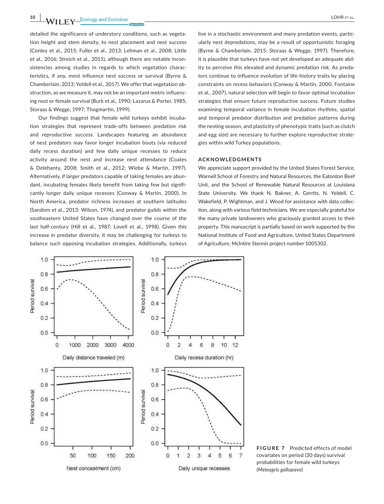**10 a LOHR** ET AL.

detailed the significance of understory conditions, such as vegetation height and stem density, to nest placement and nest success (Conley et al., 2015; Fuller et al., 2013; Lehman et al., 2008; Little et al., 2016; Streich et al., 2015), although there are notable inconsistencies among studies in regards to which vegetation characteristics, if any, most influence nest success or survival (Byrne & Chamberlain, 2013; Yeldell et al., 2017). We offer that vegetation obstruction, as we measure it, may not be an important metric influencing nest or female survival (Burk et al., 1990; Lazarus & Porter, 1985; Storaas & Wegge, 1997; Thogmartin, 1999).

Our findings suggest that female wild turkeys exhibit incubation strategies that represent trade-offs between predation risk and reproductive success. Landscapes featuring an abundance of nest predators may favor longer incubation bouts (via reduced daily recess duration) and few daily unique recesses to reduce activity around the nest and increase nest attendance (Coates & Delehanty, 2008; Smith et al., 2012; Wiebe & Martin, 1997). Alternatively, if larger predators capable of taking females are abundant, incubating females likely benefit from taking few but significantly longer daily unique recesses (Conway & Martin, 2000). In North America, predator richness increases at southern latitudes (Sandom et al., 2013; Wilson, 1974), and predator guilds within the southeastern United States have changed over the course of the last half-century (Hill et al., 1987; Lovell et al., 1998). Given this increase in predator diversity, it may be challenging for turkeys to balance such opposing incubation strategies. Additionally, turkeys

live in a stochastic environment and many predation events, particularly nest depredations, may be a result of opportunistic foraging (Byrne & Chamberlain, 2015; Storaas & Wegge, 1997). Therefore, it is plausible that turkeys have not yet developed an adequate ability to perceive this elevated and dynamic predation risk. As predators continue to influence evolution of life-history traits by placing constraints on recess behaviors (Conway & Martin, 2000; Fontaine et al., 2007), natural selection will begin to favor optimal incubation strategies that ensure future reproductive success. Future studies examining temporal variance in female incubation rhythms, spatial and temporal predator distribution and predation patterns during the nesting season, and plasticity of phenotypic traits (such as clutch and egg size) are necessary to further explore reproductive strategies within wild Turkey populations.

#### **ACKNOWLEDGMENTS**

We appreciate support provided by the United States Forest Service, Warnell School of Forestry and Natural Resources, the Eatonton Beef Unit, and the School of Renewable Natural Resources at Louisiana State University. We thank N. Bakner, A. Gerrits, N. Yeldell, C. Wakefield, P. Wightman, and J. Wood for assistance with data collection, along with various field technicians. We are especially grateful for the many private landowners who graciously granted access to their property. This manuscript is partially based on work supported by the National Institute of Food and Agriculture, United States Department of Agriculture, McIntire Stennis project number 1005302.

**FIGURE 7** Predicted effects of model 6 7 covariates on period (30 days) survival probabilities for female wild turkeys (*Meleagris gallopavo*)

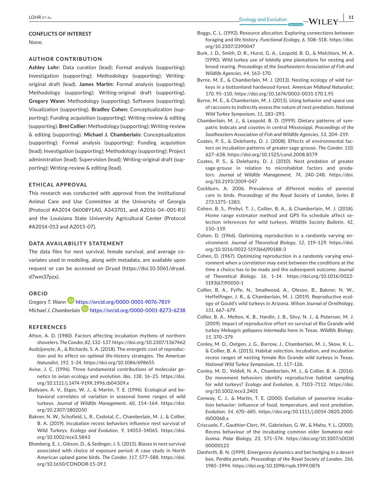#### **CONFLICTS OF INTEREST**

None.

#### **AUTHOR CONTRIBUTION**

**Ashley Lohr:** Data curation (lead); Formal analysis (supporting); Investigation (supporting); Methodology (supporting); Writingoriginal draft (lead). **James Martin:** Formal analysis (supporting); Methodology (supporting); Writing-original draft (supporting). **Gregory Wann:** Methodology (supporting); Software (supporting); Visualization (supporting). **Bradley Cohen:** Conceptualization (supporting); Funding acquisition (supporting); Writing-review & editing (supporting). **Bret Collier:** Methodology (supporting); Writing-review & editing (supporting). **Michael J. Chamberlain:** Conceptualization (supporting); Formal analysis (supporting); Funding acquisition (lead); Investigation (supporting); Methodology (supporting); Project administration (lead); Supervision (lead); Writing-original draft (supporting); Writing-review & editing (lead).

#### **ETHICAL APPROVAL**

This research was conducted with approval from the Institutional Animal Care and Use Committee at the University of Georgia (Protocol #A2014 06008Y1A0, A343701, and A2016 04–001-R1) and the Louisiana State University Agricultural Center (Protocol #A2014-013 and A2015-07).

#### **DATA AVAILABILITY STATEMENT**

The data files for nest survival, female survival, and average covariates used in modeling, along with metadata, are available upon request or can be accessed on Dryad ([https://doi.10.5061/dryad.](https://doi.10.5061/dryad.d7wm37pzx) [d7wm37pzx](https://doi.10.5061/dryad.d7wm37pzx)).

#### **ORCID**

*Gregory T. Wan[n](https://orcid.org/0000-0001-9076-7819)* <https://orcid.org/0000-0001-9076-7819> *Michael J. Chamberlain* <https://orcid.org/0000-0001-8273-6238>

#### **REFERENCES**

- Afton, A. D. (1980). Factors affecting incubation rhythms of northern shovelers. *The Condor*, *82*, 132–137.<https://doi.org/10.2307/1367462>
- Audzijonyte, A., & Richards, S. A. (2018). The energetic cost of reproduction and its effect on optimal life-history strategies. *The American Naturalist*, *192*, 1–24. <https://doi.org/10.1086/698655>
- Avise, J. C. (1996). Three fundamental contributions of molecular genetics to avian ecology and evolution. *Ibis*, *138*, 16–25. [https://doi.](https://doi.org/10.1111/j.1474-919X.1996.tb04309.x) [org/10.1111/j.1474-919X.1996.tb04309.x](https://doi.org/10.1111/j.1474-919X.1996.tb04309.x)
- Badyaev, A. V., Etges, W. J., & Martin, T. E. (1996). Ecological and behavioral correlates of variation in seasonal home ranges of wild turkeys. *Journal of Wildlife Management*, *60*, 154–164. [https://doi.](https://doi.org/10.2307/3802050) [org/10.2307/3802050](https://doi.org/10.2307/3802050)
- Bakner, N. W., Schofield, L. R., Cedotal, C., Chamberlain, M. J., & Collier, B. A. (2019). Incubation recess behaviors influence nest survival of Wild Turkeys. *Ecology and Evolution*, *9*, 14053–14065. [https://doi.](https://doi.org/10.1002/ece3.5843) [org/10.1002/ece3.5843](https://doi.org/10.1002/ece3.5843)
- Blomberg, E. J., Gibson, D., & Sedinger, J. S. (2015). Biases in nest survival associated with choice of exposure period: A case study in North American upland game birds. *The Condor*, *117*, 577–588. [https://doi.](https://doi.org/10.1650/CONDOR-15-39.1) [org/10.1650/CONDOR-15-39.1](https://doi.org/10.1650/CONDOR-15-39.1)
- Boggs, C. L. (1992). Resource allocation: Exploring connections between foraging and life history. *Functional Ecology*, *6*, 508–518. [https://doi.](https://doi.org/10.2307/2390047) [org/10.2307/2390047](https://doi.org/10.2307/2390047)
- Burk, J. D., Smith, D. R., Hurst, G. A., Leopold, B. D., & Melchiors, M. A. (1990). Wild turkey use of loblolly pine plantations for nesting and brood rearing. *Proceedings of the Southeastern Association of Fish and Wildlife Agencies*, *44*, 163–170.
- Byrne, M. E., & Chamberlain, M. J. (2013). Nesting ecology of wild turkeys in a bottomland hardwood forest. *American Midland Naturalist*, *170*, 95–110. <https://doi.org/10.1674/0003-0031-170.1.95>
- Byrne, M. E., & Chamberlain, M. J. (2015). Using behavior and space use of raccoons to indirectly assess the nature of nest predation. *National Wild Turkey Symposium*, *11*, 283–293.
- Chamberlain, M. J., & Leopold, B. D. (1999). Dietary patterns of sympatric bobcats and coyotes in central Mississippi. *Proceedings of the Southeastern Association of Fish and Wildlife Agencies*, *53*, 204–219.
- Coates, P. S., & Delehanty, D. J. (2008). Effects of environmental factors on incubation patterns of greater sage-grouse. *The Condor*, *110*, 627–638. <https://doi.org/10.1525/cond.2008.8579>
- Coates, P. S., & Delehanty, D. J. (2010). Nest predation of greater sage-grouse in relation to microhabitat factors and predators. *Journal of Wildlife Management*, *74*, 240–248. [https://doi.](https://doi.org/10.2193/2009-047) [org/10.2193/2009-047](https://doi.org/10.2193/2009-047)
- Cockburn, A. 2006. Prevalence of different modes of parental care in birds. *Proceedings of the Royal Society of London, Series B 273*:1375–1383.
- Cohen, B. S., Prebyl, T. J., Collier, B. A., & Chamberlain, M. J. (2018). Home range estimator method and GPS fix schedule affect selection inferences for wild turkeys. *Wildlife Society Bulletin*, *42*, 150–159.
- Cohen, D. (1966). Optimizing reproduction in a randomly varying environment. *Journal of Theoretical Biology*, *12*, 119–129. [https://doi.](https://doi.org/10.1016/0022-5193(66)90188-3) [org/10.1016/0022-5193\(66\)90188-3](https://doi.org/10.1016/0022-5193(66)90188-3)
- Cohen, D. (1967). Optimizing reproduction in a randomly varying environment when a correlation may exist between the conditions at the time a choice has to be made and the subsequent outcome. *Journal of Theoretical Biology*, *16*, 1–14. [https://doi.org/10.1016/0022-](https://doi.org/10.1016/0022-5193(67)90050-1) [5193\(67\)90050-1](https://doi.org/10.1016/0022-5193(67)90050-1)
- Collier, B. A., Fyffe, N., Smallwood, A., Oleson, B., Bakner, N. W., Heffelfinger, J. R., & Chamberlain, M. J. (2019). Reproductive ecology of Gould's wild turkeys in Arizona. *Wilson Journal of Ornithology*, *131*, 667–679.
- Collier, B. A., Melton, K. B., Hardin, J. B., Silvy, N. J., & Peterson, M. J. (2009). Impact of reproductive effort on survival of Rio Grande wild turkey *Meleagris gallopavo intermedia* hens in Texas. *Wildlife Biology*, *15*, 370–379.
- Conley, M. D., Oetgen, J. G., Barrow, J., Chamberlain, M. J., Skow, K. L., & Collier, B. A. (2015). Habitat selection, incubation, and incubation recess ranges of nesting female Rio Grande wild turkeys in Texas. *National Wild Turkey Symposium*, *11*, 117–126.
- Conley, M. D., Yeldell, N. A., Chamberlain, M. J., & Collier, B. A. (2016). Do movement behaviors identify reproductive habitat sampling for wild turkeys? *Ecology and Evolution*, *6*, 7103–7112. [https://doi.](https://doi.org/10.1002/ece3.2401) [org/10.1002/ece3.2401](https://doi.org/10.1002/ece3.2401)
- Conway, C. J., & Martin, T. E. (2000). Evolution of passerine incubation behavior: Influence of food, temperature, and nest predation. *Evolution*, *54*, 670–685. [https://doi.org/10.1111/j.0014-3820.2000.](https://doi.org/10.1111/j.0014-3820.2000.tb00068.x) [tb00068.x](https://doi.org/10.1111/j.0014-3820.2000.tb00068.x)
- Criscuolo, F., Gauthier-Clerc, M., Gabrielsen, G. W., & Maho, Y. L. (2000). Recess behaviour of the incubating common eider *Somateria mollissima*. *Polar Biology*, *23*, 571–574. [https://doi.org/10.1007/s0030](https://doi.org/10.1007/s003000000123) [00000123](https://doi.org/10.1007/s003000000123)
- Danforth, B. N. (1999). Emergence dynamics and bet hedging in a desert bee, *Perdita portalis*. *Proceedings of the Royal Society of London*, *266*, 1985–1994. <https://doi.org/10.1098/rspb.1999.0876>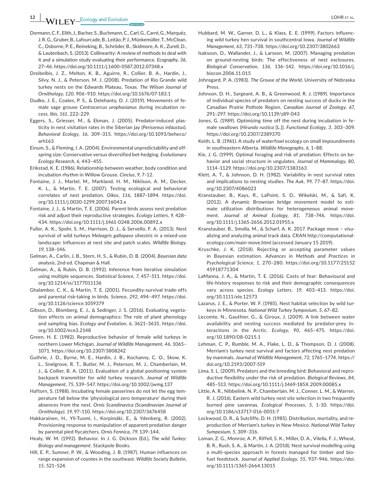- Dormann, C. F., Elith, J., Bacher, S., Buchmann, C., Carl, G., Carré, G., Marquéz, J. R. G., Gruber, B., Lafourcade, B., Leitão, P. J., Münkemüller, T., McClean, C., Osborne, P. E., Reineking, B., Schröder, B., Skidmore, A. K., Zurell, D., & Lautenbach, S. (2013). Collinearity: A review of methods to deal with it and a simulation study evaluating their performance. *Ecography*, *36*, 27–46.<https://doi.org/10.1111/j.1600-0587.2012.07348.x>
- Dreibelbis, J. Z., Melton, K. B., Aguirre, R., Collier, B. A., Hardin, J., Silvy, N. J., & Peterson, M. J. (2008). Predation of Rio Grande wild turkey nests on the Edwards Plateau, Texas. *The Wilson Journal of Ornithology*, *120*, 906–910.<https://doi.org/10.1676/07-183.1>
- Dudko, J. E., Coates, P. S., & Delehanty, D. J. (2019). Movements of female sage grouse *Centrocercus urophasianus* during incubation recess. *Ibis*, *161*, 222–229.
- Eggers, S., Griesser, M., & Ekman, J. (2005). Predator-induced plasticity in nest visitation rates in the Siberian jay (*Perisoreus infaustus*). *Behavioral Ecology*, *16*, 309–315. [https://doi.org/10.1093/beheco/](https://doi.org/10.1093/beheco/arh163) [arh163](https://doi.org/10.1093/beheco/arh163)
- Einum, S., & Fleming, I. A. (2004). Environmental unpredictability and offspring size: Conservative versus diversified bet-hedging. *Evolutionary Ecology Research*, *6*, 443–455.
- Erikstad, K. E. (1986). Relationship between weather, body condition and incubation rhythm in Willow Grouse. *Cinclus*, *9*, 7–12.
- Fontaine, J. J., Martel, M., Markland, H. M., Niklison, A. M., Decker, K. L., & Martin, T. E. (2007). Testing ecological and behavioral correlates of nest predation. *Oikos*, *116*, 1887–1894. [https://doi.](https://doi.org/10.1111/j.0030-1299.2007.16043.x) [org/10.1111/j.0030-1299.2007.16043.x](https://doi.org/10.1111/j.0030-1299.2007.16043.x)
- Fontaine, J. J., & Martin, T. E. (2006). Parent birds assess nest predation risk and adjust their reproductive strategies. *Ecology Letters*, *9*, 428– 434. <https://doi.org/10.1111/j.1461-0248.2006.00892.x>
- Fuller, A. K., Spohr, S. M., Harrison, D. J., & Servello, F. A. (2013). Nest survival of wild turkeys *Meleagris gallopavo silvestris* in a mixed-use landscape: Influences at nest site and patch scales. *Wildlife Biology*, *19*, 138–146.
- Gelman, A., Carlin, J. B., Stern, H. S., & Rubin, D. B. (2004). *Bayesian data analysis*, 2nd ed. Chapman & Hall.
- Gelman, A., & Rubin, D. B. (1992). Inference from iterative simulation using multiple sequences. *Statistical Science*, *7*, 457–511. [https://doi.](https://doi.org/10.1214/ss/1177011136) [org/10.1214/ss/1177011136](https://doi.org/10.1214/ss/1177011136)
- Ghalambor, C. K., & Martin, T. E. (2001). Fecundity-survival trade-offs and parental risk-taking in birds. *Science*, *292*, 494–497. [https://doi.](https://doi.org/10.1126/science.1059379) [org/10.1126/science.1059379](https://doi.org/10.1126/science.1059379)
- Gibson, D., Blomberg, E. J., & Sedinger, J. S. (2016). Evaluating vegetation effects on animal demographics: The role of plant phenology and sampling bias. *Ecology and Evolution*, *6*, 3621–3631. [https://doi.](https://doi.org/10.1002/ece3.2148) [org/10.1002/ece3.2148](https://doi.org/10.1002/ece3.2148)
- Green, H. E. (1982). Reproductive behavior of female wild turkeys in northern Lower Michigan. *Journal of Wildlife Management*, *46*, 1065– 1071.<https://doi.org/10.2307/3808242>
- Guthrie, J. D., Byrne, M. E., Hardin, J. B., Kochanny, C. O., Skow, K. L., Snelgrove, R. T., Butler, M. J., Peterson, M. J., Chamberlain, M. J., & Collier, B. A. (2011). Evaluation of a global positioning system backpack transmitter for wild turkey research. *Journal of Wildlife Management*, *75*, 539–547. <https://doi.org/10.1002/jwmg.137>
- Haftorn, S. (1988). Incubating female passerines do not let the egg temperature fall below the 'physiological zero temperature' during their absences from the nest. *Ornis Scandinavica (Scandinavian Journal of Ornithology)*, *19*, 97–110.<https://doi.org/10.2307/3676458>
- Hakkarainen, H., Yli-Tuomi, I., Korpimӓki, E., & Ydenberg, R. (2002). Provisioning response to manipulation of apparent predation danger by parental pied flycatchers. *Ornis Fennica*, *79*, 139–144.
- Healy, W. M. (1992). Behavior. In J. G. Dickson (Ed.), *The wild Turkey: Biology and management*. Stackpole Books.
- Hill, E. P., Sumner, P. W., & Wooding, J. B. (1987). Human influences on range expansion of coyotes in the southeast. *Wildlife Society Bulletin*, *15*, 521–524.
- Hubbard, M. W., Garner, D. L., & Klass, E. E. (1999). Factors influencing wild turkey hen survival in southcentral Iowa. *Journal of Wildlife Management*, *63*, 731–738.<https://doi.org/10.2307/3802663>
- Isaksson, D., Wallander, J., & Larsson, M. (2007). Managing predation on ground-nesting birds: The effectiveness of nest exclosures. *Biological Conservation*, *136*, 136–142. [https://doi.org/10.1016/j.](https://doi.org/10.1016/j.biocon.2006.11.015) [biocon.2006.11.015](https://doi.org/10.1016/j.biocon.2006.11.015)
- Johnsgard, P. A. (1983). *The Grouse of the World*. University of Nebraska Press.
- Johnson, D. H., Sargeant, A. B., & Greenwood, R. J. (1989). Importance of individual species of predators on nesting success of ducks in the Canadian Prairie Pothole Region. *Canadian Journal of Zoology*, *67*, 291–297.<https://doi.org/10.1139/z89-043>
- Jones, G. (1989). Optimizing time off the nest during incubation in female swallows (*Hirundo rustica* [L.]). *Functional Ecology*, *3*, 303–309. <https://doi.org/10.2307/2389370>
- Keith, L. B. (1961). A study of waterfowl ecology on small impoundments in southeastern Alberta. *Wildlife Monographs*, *6*, 1–88.
- Kie, J. G. (1999). Optimal foraging and risk of predation: Effects on behavior and social structure in ungulates. *Journal of Mammalogy*, *80*, 1114–1129. <https://doi.org/10.2307/1383163>
- Klett, A. T., & Johnson, D. H. (1982). Variability in nest survival rates and implications to nesting studies. *The Auk*, *99*, 77–87. [https://doi.](https://doi.org/10.2307/4086023) [org/10.2307/4086023](https://doi.org/10.2307/4086023)
- Kranstauber, B., Kays, R., LaPoint, S. D., Wikelski, M., & Safi, K. (2012). A dynamic Brownian bridge movement model to estimate utilization distributions for heterogeneous animal movement. *Journal of Animal Ecology*, *81*, 738–746. [https://doi.](https://doi.org/10.1111/j.1365-2656.2012.01955.x) [org/10.1111/j.1365-2656.2012.01955.x](https://doi.org/10.1111/j.1365-2656.2012.01955.x)
- Kranstauber, B., Smolla, M., & Scharf, A. K. 2017. Package move visualizing and analyzing animal track data. CRAN [http://computational](http://computational-ecology.com/main-move.html)[ecology.com/main-move.html](http://computational-ecology.com/main-move.html) (accessed January 15 2019).
- Kruschke, J. K. (2018). Rejecting or accepting parameter values in Bayesian estimation. *Advances in Methods and Practices in Psychological Science*, *1*, 270–280. [https://doi.org/10.1177/25152](https://doi.org/10.1177/2515245918771304) [45918771304](https://doi.org/10.1177/2515245918771304)
- LaManna, J. A., & Martin, T. E. (2016). Costs of fear: Behavioural and life-history responses to risk and their demographic consequences vary across species. *Ecology Letters*, *19*, 403–413. [https://doi.](https://doi.org/10.1111/ele.12573) [org/10.1111/ele.12573](https://doi.org/10.1111/ele.12573)
- Lazarus, J. E., & Porter, W. F. (1985). Nest habitat selection by wild turkeys in Minnesota. *National Wild Turkey Symposium*, *5*, 67–82.
- Lecomte, N., Gauthier, G., & Giroux, J. (2009). A link between water availability and nesting success mediated by predator-prey interactions in the Arctic. *Ecology*, *90*, 465–475. [https://doi.](https://doi.org/10.1890/08-0215.1) [org/10.1890/08-0215.1](https://doi.org/10.1890/08-0215.1)
- Lehman, C. P., Rumble, M. A., Flake, L. D., & Thompson, D. J. (2008). Merriam's turkey nest survival and factors affecting nest predation by mammals. *Journal of Wildlife Management*, *72*, 1765–1774. [https://](https://doi.org/10.2193/2007-519) [doi.org/10.2193/2007-519](https://doi.org/10.2193/2007-519)
- Lima, S. L. (2009). Predators and the breeding bird: Behavioral and reproductive flexibility under the risk of predation. *Biological Reviews*, *84*, 485–513.<https://doi.org/10.1111/j.1469-185X.2009.00085.x>
- Little, A. R., Nibbelink, N. P., Chamberlain, M. J., Conner, L. M., & Warren, R. J. (2016). Eastern wild turkey nest site selection in two frequently burned pine savannas. *Ecological Processes*, *5*, 1–10. [https://doi.](https://doi.org/10.1186/s13717-016-0051-7) [org/10.1186/s13717-016-0051-7](https://doi.org/10.1186/s13717-016-0051-7)
- Lockwood, D. R., & Sutcliffe, D. H. (1985). Distribution, mortality, and reproduction of Merriam's turkey in New Mexico. *National Wild Turkey Symposium*, *5*, 309–316.
- Loman, Z. G., Monroe, A. P., Riffell, S. K., Miller, D. A., Vilella, F. J., Wheat, B. R., Rush, S. A., & Martin, J. A. (2018). Nest survival modelling using a multi-species approach in forests managed for timber and biofuel feedstock. *Journal of Applied Ecology*, *55*, 937–946. [https://doi.](https://doi.org/10.1111/1365-2664.13015) [org/10.1111/1365-2664.13015](https://doi.org/10.1111/1365-2664.13015)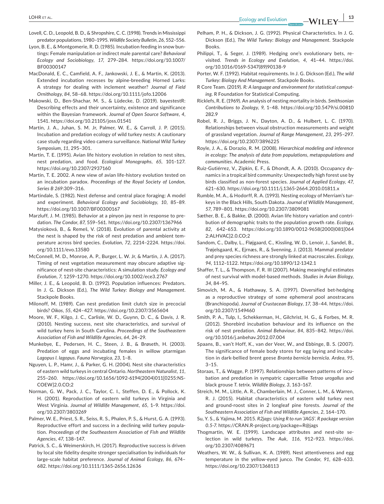- Lovell, C. D., Leopold, B. D., & Shropshire, C. C. (1998). Trends in Mississippi predator populations, 1980–1995. *Wildlife Society Bulletin*, *26*, 552–556.
- Lyon, B. E., & Montgomerie, R. D. (1985). Incubation feeding in snow buntings: Female manipulation or indirect male parental care? *Behavioral Ecology and Sociobiology*, *17*, 279–284. [https://doi.org/10.1007/](https://doi.org/10.1007/BF00300147) [BF00300147](https://doi.org/10.1007/BF00300147)
- MacDonald, E. C., Camfield, A. F., Jankowski, J. E., & Martin, K. (2013). Extended incubation recesses by alpine-breeding Horned Larks: A strategy for dealing with inclement weather? *Journal of Field Ornithology*, *84*, 58–68. <https://doi.org/10.1111/jofo.12006>
- Makowski, D., Ben-Shachar, M. S., & Lüdecke, D. (2019). bayestestR: Describing effects and their uncertainty, existence and significance within the Bayesian framework. *Journal of Open Source Software*, *4*, 1541. <https://doi.org/10.21105/joss.01541>
- Martin, J. A., Juhan, S. M. Jr, Palmer, W. E., & Carroll, J. P. (2015). Incubation and predation ecology of wild turkey nests: A cautionary case study regarding video camera surveillance. *National Wild Turkey Symposium*, *11*, 295–301.
- Martin, T. E. (1995). Avian life history evolution in relation to nest sites, nest predation, and food. *Ecological Monographs*, *65*, 101–127. <https://doi.org/10.2307/2937160>
- Martin, T. E. 2002. A new view of avian life-history evolution tested on an incubation paradox. *Proceedings of the Royal Society of London, Series B 269*:309–316.
- Martindale, S. (1982). Nest defense and central place foraging: A model and experiment. *Behavioral Ecology and Sociobiology*, *10*, 85–89. <https://doi.org/10.1007/BF00300167>
- Marzluff, J. M. (1985). Behavior at a pinyon jay nest in response to predation. *The Condor*, *87*, 559–561.<https://doi.org/10.2307/1367966>
- Matysioková, B., & Remeš, V. (2018). Evolution of parental activity at the nest is shaped by the risk of nest predation and ambient temperature across bird species. *Evolution*, *72*, 2214–2224. [https://doi.](https://doi.org/10.1111/evo.13580) [org/10.1111/evo.13580](https://doi.org/10.1111/evo.13580)
- McConnell, M. D., Monroe, A. P., Burger, L. W. Jr, & Martin, J. A. (2017). Timing of nest vegetation measurement may obscure adaptive significance of nest-site characteristics: A simulation study. *Ecology and Evolution*, *7*, 1259–1270. <https://doi.org/10.1002/ece3.2767>
- Miller, J. E., & Leopold, B. D. (1992). Population influences: Predators. In J. G. Dickson (Ed.), *The Wild Turkey: Biology and Management*. Stackpole Books.
- Milonoff, M. (1989). Can nest predation limit clutch size in precocial birds? *Oikos*, *55*, 424–427. <https://doi.org/10.2307/3565604>
- Moore, W. F., Kilgo, J. C., Carlisle, W. D., Guynn, D. C., & Davis, J. R. (2010). Nesting success, nest site characteristics, and survival of wild turkey hens in South Carolina. *Proceedings of the Southeastern Association of Fish and Wildlife Agencies*, *64*, 24–29.
- Munkebye, E., Pedersen, H. C., Steen, J. B., & Brøseth, H. (2003). Predation of eggs and incubating females in willow ptarmigan *Lagopus l. lagopus*. *Fauna Norvegica*, *23*, 1–8.
- Nguyen, L. P., Hamr, J., & Parker, G. H. (2004). Nest site characteristics of eastern wild turkeys in central Ontario. *Northeastern Naturalist*, *11*, 255–260. [https://doi.org/10.1656/1092-6194\(2004\)011\[0255:NS](https://doi.org/10.1656/1092-6194(2004)011%5B0255:NSCOEW%5D2.0.CO;2)-[COEW\]2.0.CO;2](https://doi.org/10.1656/1092-6194(2004)011%5B0255:NSCOEW%5D2.0.CO;2)
- Norman, G. W., Pack, J. C., Taylor, C. I., Steffen, D. E., & Pollock, K. H. (2001). Reproduction of eastern wild turkeys in Virginia and West Virginia. *Journal of Wildlife Management*, *65*, 1–9. [https://doi.](https://doi.org/10.2307/3803269) [org/10.2307/3803269](https://doi.org/10.2307/3803269)
- Palmer, W. E., Priest, S. R., Seiss, R. S., Phalen, P. S., & Hurst, G. A. (1993). Reproductive effort and success in a declining wild turkey population. *Proceedings of the Southeastern Association of Fish and Wildlife Agencies*, *47*, 138–147.
- Patrick, S. C., & Weimerskirch, H. (2017). Reproductive success is driven by local site fidelity despite stronger specialisation by individuals for large-scale habitat preference. *Journal of Animal Ecology*, *86*, 674– 682. <https://doi.org/10.1111/1365-2656.12636>
- Pelham, P. H., & Dickson, J. G. (1992). Physical Characteristics. In J. G. Dickson (Ed.), *The Wild Turkey: Biology and Management*. Stackpole Books.
- Philippi, T., & Seger, J. (1989). Hedging one's evolutionary bets, revisited. *Trends in Ecology and Evolution*, *4*, 41–44. [https://doi.](https://doi.org/10.1016/0169-5347(89)90138-9) [org/10.1016/0169-5347\(89\)90138-9](https://doi.org/10.1016/0169-5347(89)90138-9)
- Porter, W. F. (1992). Habitat requirements. In J. G. Dickson (Ed.), *The wild Turkey: Biology And Management*. Stackpole Books.
- R Core Team. (2019). *R: A language and environment for statistical computing*. R Foundation for Statistical Computing.
- Ricklefs, R. E. (1969). An analysis of nesting mortality in birds. *Smithsonian Contributions to Zoology*, *9*, 1–48. [https://doi.org/10.5479/si.00810](https://doi.org/10.5479/si.00810282.9) [282.9](https://doi.org/10.5479/si.00810282.9)
- Robel, R. J., Briggs, J. N., Dayton, A. D., & Hulbert, L. C. (1970). Relationships between visual obstruction measurements and weight of grassland vegetation. *Journal of Range Management*, *23*, 295–297. <https://doi.org/10.2307/3896225>
- Royle, J. A., & Dorazio, R. M. (2008). *Hierarchical modeling and inference in ecology: The analysis of data from populations, metapopulations and communities*. Academic Press.
- Ruiz-Gutiérrez, V., Zipkin, E. F., & Dhondt, A. A. (2010). Occupancy dynamics in a tropical bird community: Unexpectedly high forest use by birds classified as non-forest species. *Journal of Applied Ecology*, *47*, 621–630. <https://doi.org/10.1111/j.1365-2664.2010.01811.x>
- Rumble, M. A., & Hodorff, R. A. (1993). Nesting ecology of Merriam's turkeys in the Black Hills, South Dakota. *Journal of Wildlife Management*, *57*, 789–801. <https://doi.org/10.2307/3809081>
- Sæther, B. E., & Bakke, Ø. (2000). Avian life history variation and contribution of demographic traits to the population growth rate. *Ecology*, *82*, 642–653. [https://doi.org/10.1890/0012-9658\(2000\)081\[064](https://doi.org/10.1890/0012-9658(2000)081%5B0642:ALHVAC%5D2.0.CO;2) [2:ALHVAC\]2.0.CO;2](https://doi.org/10.1890/0012-9658(2000)081%5B0642:ALHVAC%5D2.0.CO;2)
- Sandom, C., Dalby, L., Fløjgaard, C., Kissling, W. D., Lenoir, J., Sandel, B., Trøjelsgaard, K., Ejrnæs, R., & Svenning, J. (2013). Mammal predator and prey species richness are strongly linked at macroscales. *Ecology*, *94*, 1112–1122. <https://doi.org/10.1890/12-1342.1>
- Shaffer, T. L., & Thompson, F. R. III (2007). Making meaningful estimates of nest survival with model-based methods. *Studies in Avian Biology*, *34*, 84–95.
- Simovich, M. A., & Hathaway, S. A. (1997). Diversified bet-hedging as a reproductive strategy of some ephemeral pool anostracans (Branchiopoda). *Journal of Crustacean Biology*, *17*, 38–44. [https://doi.](https://doi.org/10.2307/1549460) [org/10.2307/1549460](https://doi.org/10.2307/1549460)
- Smith, P. A., Tulp, I., Schekkerman, H., Gilchrist, H. G., & Forbes, M. R. (2012). Shorebird incubation behaviour and its influence on the risk of nest predation. *Animal Behaviour*, *84*, 835–842. [https://doi.](https://doi.org/10.1016/j.anbehav.2012.07.004) [org/10.1016/j.anbehav.2012.07.004](https://doi.org/10.1016/j.anbehav.2012.07.004)
- Spaans, B., van't Hoff, K., van der Veer, W., and Ebbinge, B. S. (2007). The significance of female body stores for egg laying and incubation in dark-bellied brent geese *Branta bernicla bernicla*. *Ardea*, *95*, 3–15.
- Storaas, T., & Wagge, P. (1997). Relationships between patterns of incubation and predation in sympatric capercaillie *Tetrao urogallus* and black grouse *T. tetrix*. *Wildlife Biology*, *3*, 163–167.
- Streich, M. M., Little, A. R., Chamberlain, M. J., Conner, L. M., & Warren, R. J. (2015). Habitat characteristics of eastern wild turkey nest and ground-roost sites in 2 longleaf pine forests. *Journal of the Southeastern Association of Fish and Wildlife Agencies*, *2*, 164–170.
- Su, Y. S., & Yajima, M. 2015. *R2jags: Using R to run 'JAGS'. R package version 0.5-7*. [https://CRAN.R-project.org/package](https://CRAN.R-project.org/package=R@jags)=R@jags
- Thogmartin, W. E. (1999). Landscape attributes and nest-site selection in wild turkeys. *The Auk*, *116*, 912–923. [https://doi.](https://doi.org/10.2307/4089671) [org/10.2307/4089671](https://doi.org/10.2307/4089671)
- Weathers, W. W., & Sullivan, K. A. (1989). Nest attentiveness and egg temperature in the yellow-eyed junco. *The Condor*, *91*, 628–633. <https://doi.org/10.2307/1368113>